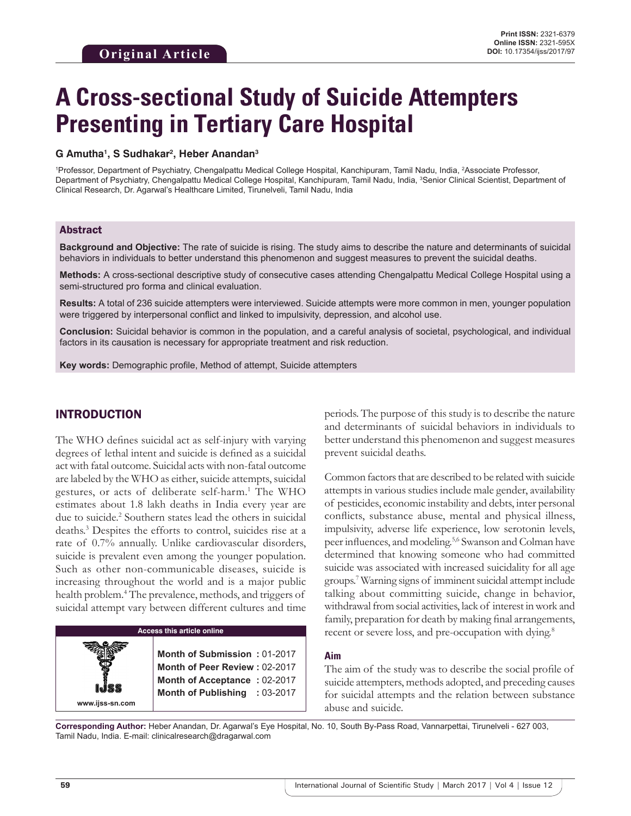# **A Cross-sectional Study of Suicide Attempters Presenting in Tertiary Care Hospital**

#### **G Amutha1 , S Sudhakar2 , Heber Anandan3**

1 Professor, Department of Psychiatry, Chengalpattu Medical College Hospital, Kanchipuram, Tamil Nadu, India, 2 Associate Professor, Department of Psychiatry, Chengalpattu Medical College Hospital, Kanchipuram, Tamil Nadu, India, <sup>3</sup>Senior Clinical Scientist, Department of Clinical Research, Dr. Agarwal's Healthcare Limited, Tirunelveli, Tamil Nadu, India

### Abstract

**Background and Objective:** The rate of suicide is rising. The study aims to describe the nature and determinants of suicidal behaviors in individuals to better understand this phenomenon and suggest measures to prevent the suicidal deaths.

**Methods:** A cross-sectional descriptive study of consecutive cases attending Chengalpattu Medical College Hospital using a semi-structured pro forma and clinical evaluation.

**Results:** A total of 236 suicide attempters were interviewed. Suicide attempts were more common in men, younger population were triggered by interpersonal conflict and linked to impulsivity, depression, and alcohol use.

**Conclusion:** Suicidal behavior is common in the population, and a careful analysis of societal, psychological, and individual factors in its causation is necessary for appropriate treatment and risk reduction.

**Key words:** Demographic profile, Method of attempt, Suicide attempters

## INTRODUCTION

The WHO defines suicidal act as self-injury with varying degrees of lethal intent and suicide is defined as a suicidal act with fatal outcome. Suicidal acts with non-fatal outcome are labeled by the WHO as either, suicide attempts, suicidal gestures, or acts of deliberate self-harm.<sup>1</sup> The WHO estimates about 1.8 lakh deaths in India every year are due to suicide.<sup>2</sup> Southern states lead the others in suicidal deaths.3 Despites the efforts to control, suicides rise at a rate of 0.7% annually. Unlike cardiovascular disorders, suicide is prevalent even among the younger population. Such as other non-communicable diseases, suicide is increasing throughout the world and is a major public health problem.4 The prevalence, methods, and triggers of suicidal attempt vary between different cultures and time

#### **Access this article online**

**Month of Submission :** 01-2017 **Month of Peer Review :** 02-2017 **Month of Acceptance :** 02-2017 **Month of Publishing :** 03-2017 periods. The purpose of this study is to describe the nature and determinants of suicidal behaviors in individuals to better understand this phenomenon and suggest measures prevent suicidal deaths.

Common factors that are described to be related with suicide attempts in various studies include male gender, availability of pesticides, economic instability and debts, inter personal conflicts, substance abuse, mental and physical illness, impulsivity, adverse life experience, low serotonin levels, peer influences, and modeling.5,6 Swanson and Colman have determined that knowing someone who had committed suicide was associated with increased suicidality for all age groups.7 Warning signs of imminent suicidal attempt include talking about committing suicide, change in behavior, withdrawal from social activities, lack of interest in work and family, preparation for death by making final arrangements, recent or severe loss, and pre-occupation with dying.<sup>8</sup>

#### **Aim**

The aim of the study was to describe the social profile of suicide attempters, methods adopted, and preceding causes for suicidal attempts and the relation between substance abuse and suicide.

**Corresponding Author:** Heber Anandan, Dr. Agarwal's Eye Hospital, No. 10, South By-Pass Road, Vannarpettai, Tirunelveli - 627 003, Tamil Nadu, India. E-mail: clinicalresearch@dragarwal.com

**www.ijss-sn.com**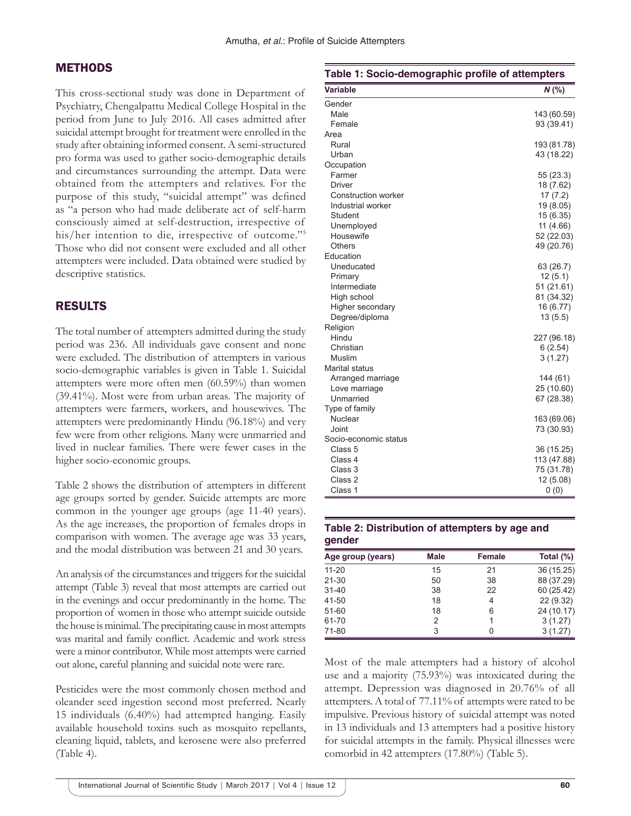## **METHODS**

This cross-sectional study was done in Department of Psychiatry, Chengalpattu Medical College Hospital in the period from June to July 2016. All cases admitted after suicidal attempt brought for treatment were enrolled in the study after obtaining informed consent. A semi-structured pro forma was used to gather socio-demographic details and circumstances surrounding the attempt. Data were obtained from the attempters and relatives. For the purpose of this study, "suicidal attempt" was defined as "a person who had made deliberate act of self-harm consciously aimed at self-destruction, irrespective of his/her intention to die, irrespective of outcome."<sup>5</sup> Those who did not consent were excluded and all other attempters were included. Data obtained were studied by descriptive statistics.

## RESULTS

The total number of attempters admitted during the study period was 236. All individuals gave consent and none were excluded. The distribution of attempters in various socio-demographic variables is given in Table 1. Suicidal attempters were more often men (60.59%) than women (39.41%). Most were from urban areas. The majority of attempters were farmers, workers, and housewives. The attempters were predominantly Hindu (96.18%) and very few were from other religions. Many were unmarried and lived in nuclear families. There were fewer cases in the higher socio-economic groups.

Table 2 shows the distribution of attempters in different age groups sorted by gender. Suicide attempts are more common in the younger age groups (age 11-40 years). As the age increases, the proportion of females drops in comparison with women. The average age was 33 years, and the modal distribution was between 21 and 30 years.

An analysis of the circumstances and triggers for the suicidal attempt (Table 3) reveal that most attempts are carried out in the evenings and occur predominantly in the home. The proportion of women in those who attempt suicide outside the house is minimal. The precipitating cause in most attempts was marital and family conflict. Academic and work stress were a minor contributor. While most attempts were carried out alone, careful planning and suicidal note were rare.

Pesticides were the most commonly chosen method and oleander seed ingestion second most preferred. Nearly 15 individuals (6.40%) had attempted hanging. Easily available household toxins such as mosquito repellants, cleaning liquid, tablets, and kerosene were also preferred (Table 4).

| Table 1: Socio-demographic profile of attempters |             |
|--------------------------------------------------|-------------|
| Variable                                         | $N$ (%)     |
| Gender                                           |             |
| Male                                             | 143 (60.59) |
| Female                                           | 93 (39.41)  |
| Area                                             |             |
| Rural                                            | 193 (81.78) |
| Urban                                            | 43 (18.22)  |
| Occupation                                       |             |
| Farmer                                           | 55 (23.3)   |
| Driver                                           | 18 (7.62)   |
| Construction worker                              | 17(7.2)     |
| Industrial worker                                | 19 (8.05)   |
| Student                                          | 15 (6.35)   |
| Unemployed                                       | 11 (4.66)   |
| Housewife                                        | 52 (22.03)  |
| Others                                           | 49 (20.76)  |
| Education                                        |             |
| Uneducated                                       | 63 (26.7)   |
| Primary                                          | 12(5.1)     |
| Intermediate                                     | 51 (21.61)  |
| High school                                      | 81 (34.32)  |
| Higher secondary                                 | 16 (6.77)   |
| Degree/diploma                                   | 13(5.5)     |
| Religion                                         |             |
| Hindu                                            | 227 (96.18) |
| Christian                                        | 6(2.54)     |
| Muslim                                           | 3(1.27)     |
| Marital status                                   |             |
| Arranged marriage                                | 144 (61)    |
| Love marriage                                    | 25 (10.60)  |
| Unmarried                                        | 67 (28.38)  |
| Type of family                                   |             |
| Nuclear                                          | 163 (69.06) |
| Joint                                            | 73 (30.93)  |
| Socio-economic status                            |             |
| Class 5                                          | 36 (15.25)  |
| Class 4                                          | 113 (47.88) |
| Class 3                                          | 75 (31.78)  |
| Class 2                                          | 12 (5.08)   |
| Class 1                                          | 0(0)        |

#### **Table 2: Distribution of attempters by age and gender**

| Age group (years) | <b>Male</b> | Female | Total $(\%)$ |
|-------------------|-------------|--------|--------------|
| $11 - 20$         | 15          | 21     | 36 (15.25)   |
| $21 - 30$         | 50          | 38     | 88 (37.29)   |
| $31 - 40$         | 38          | 22     | 60 (25.42)   |
| 41-50             | 18          | 4      | 22 (9.32)    |
| 51-60             | 18          | 6      | 24 (10.17)   |
| 61-70             | 2           |        | 3(1.27)      |
| 71-80             | 3           |        | 3(1.27)      |

Most of the male attempters had a history of alcohol use and a majority (75.93%) was intoxicated during the attempt. Depression was diagnosed in 20.76% of all attempters. A total of 77.11% of attempts were rated to be impulsive. Previous history of suicidal attempt was noted in 13 individuals and 13 attempters had a positive history for suicidal attempts in the family. Physical illnesses were comorbid in 42 attempters (17.80%) (Table 5).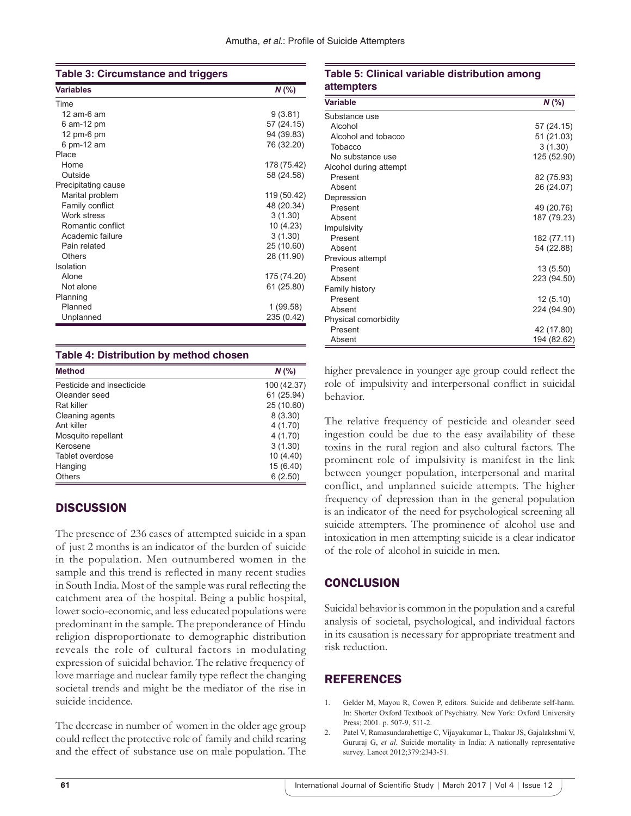| Table 3: Circumstance and triggers |  |
|------------------------------------|--|
|------------------------------------|--|

| <b>Variables</b>    | $N$ (%)     |
|---------------------|-------------|
| Time                |             |
| 12 am-6 am          | 9(3.81)     |
| 6 am-12 pm          | 57 (24.15)  |
| 12 pm-6 $pm$        | 94 (39.83)  |
| 6 pm-12 am          | 76 (32.20)  |
| Place               |             |
| Home                | 178 (75.42) |
| Outside             | 58 (24.58)  |
| Precipitating cause |             |
| Marital problem     | 119 (50.42) |
| Family conflict     | 48 (20.34)  |
| Work stress         | 3(1.30)     |
| Romantic conflict   | 10 (4.23)   |
| Academic failure    | 3(1.30)     |
| Pain related        | 25 (10.60)  |
| Others              | 28 (11.90)  |
| Isolation           |             |
| Alone               | 175 (74.20) |
| Not alone           | 61 (25.80)  |
| Planning            |             |
| Planned             | 1 (99.58)   |
| Unplanned           | 235 (0.42)  |

#### **Table 4: Distribution by method chosen**

| <b>Method</b>             | $N$ (%)     |
|---------------------------|-------------|
| Pesticide and insecticide | 100 (42.37) |
| Oleander seed             | 61 (25.94)  |
| Rat killer                | 25 (10.60)  |
| Cleaning agents           | 8(3.30)     |
| Ant killer                | 4(1.70)     |
| Mosquito repellant        | 4(1.70)     |
| Kerosene                  | 3(1.30)     |
| Tablet overdose           | 10(4.40)    |
| Hanging                   | 15 (6.40)   |
| <b>Others</b>             | 6(2.50)     |

# **DISCUSSION**

The presence of 236 cases of attempted suicide in a span of just 2 months is an indicator of the burden of suicide in the population. Men outnumbered women in the sample and this trend is reflected in many recent studies in South India. Most of the sample was rural reflecting the catchment area of the hospital. Being a public hospital, lower socio-economic, and less educated populations were predominant in the sample. The preponderance of Hindu religion disproportionate to demographic distribution reveals the role of cultural factors in modulating expression of suicidal behavior. The relative frequency of love marriage and nuclear family type reflect the changing societal trends and might be the mediator of the rise in suicide incidence.

The decrease in number of women in the older age group could reflect the protective role of family and child rearing and the effect of substance use on male population. The

## **Table 5: Clinical variable distribution among attempters**

| Variable               | $N$ (%)     |
|------------------------|-------------|
| Substance use          |             |
| Alcohol                | 57 (24.15)  |
| Alcohol and tobacco    | 51 (21.03)  |
| Tobacco                | 3(1.30)     |
| No substance use       | 125 (52.90) |
| Alcohol during attempt |             |
| Present                | 82 (75.93)  |
| Absent                 | 26 (24.07)  |
| Depression             |             |
| Present                | 49 (20.76)  |
| Absent                 | 187 (79.23) |
| Impulsivity            |             |
| Present                | 182 (77.11) |
| Absent                 | 54 (22.88)  |
| Previous attempt       |             |
| Present                | 13 (5.50)   |
| Absent                 | 223 (94.50) |
| Family history         |             |
| Present                | 12(5.10)    |
| Absent                 | 224 (94.90) |
| Physical comorbidity   |             |
| Present                | 42 (17.80)  |
| Absent                 | 194 (82.62) |

higher prevalence in younger age group could reflect the role of impulsivity and interpersonal conflict in suicidal behavior.

The relative frequency of pesticide and oleander seed ingestion could be due to the easy availability of these toxins in the rural region and also cultural factors. The prominent role of impulsivity is manifest in the link between younger population, interpersonal and marital conflict, and unplanned suicide attempts. The higher frequency of depression than in the general population is an indicator of the need for psychological screening all suicide attempters. The prominence of alcohol use and intoxication in men attempting suicide is a clear indicator of the role of alcohol in suicide in men.

# **CONCLUSION**

Suicidal behavior is common in the population and a careful analysis of societal, psychological, and individual factors in its causation is necessary for appropriate treatment and risk reduction.

# **REFERENCES**

- 1. Gelder M, Mayou R, Cowen P, editors. Suicide and deliberate self-harm. In: Shorter Oxford Textbook of Psychiatry. New York: Oxford University Press; 2001. p. 507-9, 511-2.
- 2. Patel V, Ramasundarahettige C, Vijayakumar L, Thakur JS, Gajalakshmi V, Gururaj G, *et al.* Suicide mortality in India: A nationally representative survey. Lancet 2012;379:2343-51.